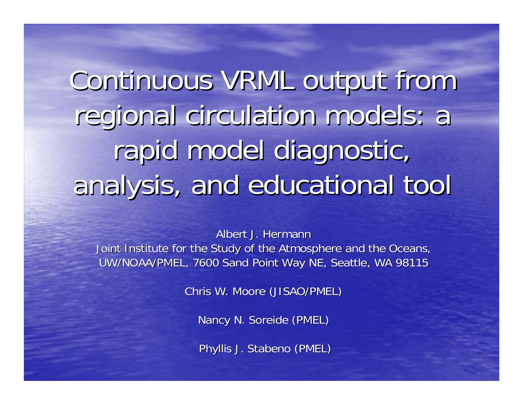Continuous VRML output from regional circulation models: a rapid model diagnostic, rapid model diagnostic, analysis, and educational tool

Albert J. Hermann Joint Institute for the Study of the Atmosphere and the Oceans, UW/NOAA/PMEL, 7600 Sand Point Way NE, Seattle, WA 98115

Chris W. Moore (JISAO/PMEL)

Nancy N. Soreide (PMEL)

Phyllis J. Stabeno (PMEL)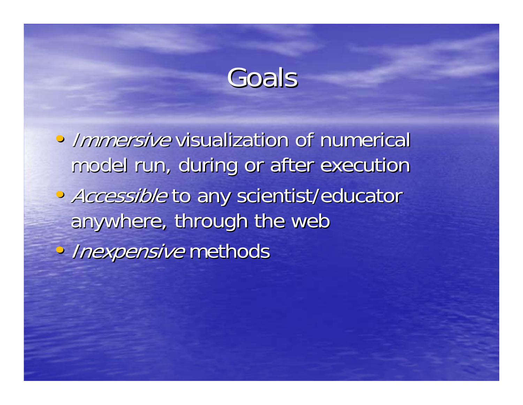# Goals

• Immersive visualization of numerical model run, during or after execution model run, during or after execution • Accessible to any scientist/educator anywhere, through the web • Inexpensive methods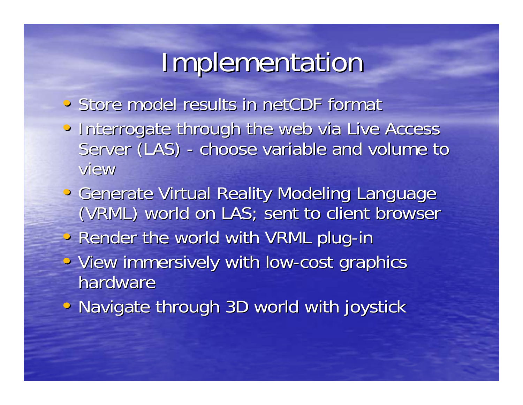# **Implementation**

- Store model results in netCDF format
- $\bullet$ Interrogate through the web via Live Access Server (LAS) - choose variable and volume to view
- Generate Virtual Reality Modeling Language (VRML) world on LAS; sent to client browser
- Render the world with VRML plug-in
- View immersively with low-cost graphics hardware
- Navigate through 3D world with joystick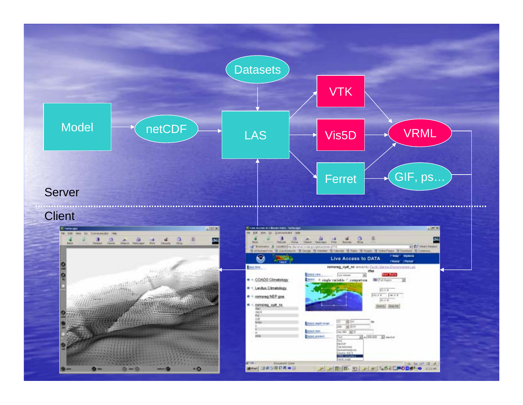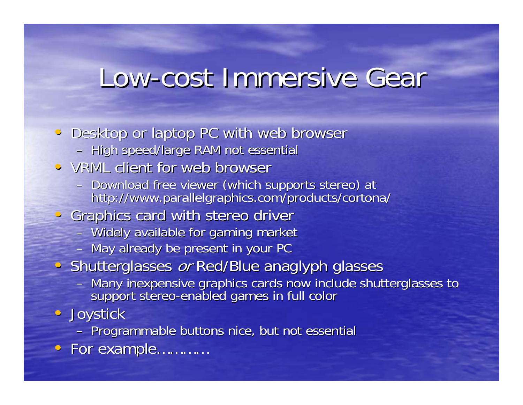## Low-cost Immersive Gear

- $\mathbf 0$ Desktop or laptop PC with web browser
	- –– High speed/large RAM not essential
- VRML client for web browser
	- –Download free viewer (which supports stereo) at Download free viewer (which supports stereo) at http:// http://www.parallelgraphics.com/products/cortona www.parallelgraphics.com/products/cortona/
- Graphics card with stereo driver
	- –– Widely available for gaming market
	- –– May already be present in your PC
- Shutterglasses or Red/Blue anaglyph glasses
	- Many inexpensive graphics cards now include shutterglasses to support stereo-enabled games in full color
- Joystick
	- Programmable buttons nice, but not essential
- For example…………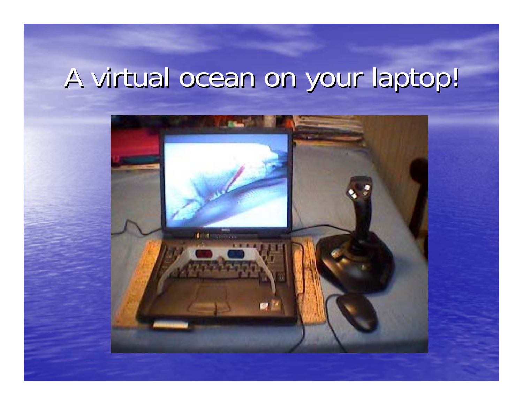# A virtual ocean on your laptop! A virtual ocean on your laptop!

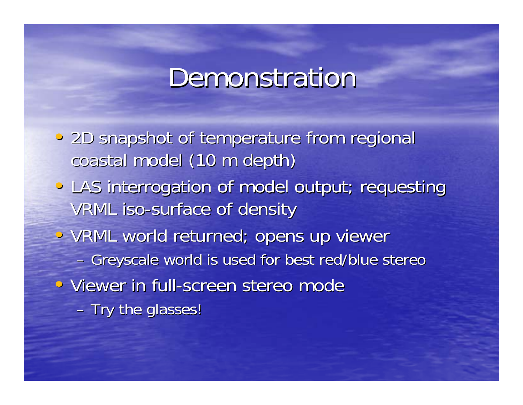#### Demonstration

- 2D snapshot of temperature from regional coastal model (10 m depth)
- LAS interrogation of model output; requesting VRML iso-surface of density
- VRML world returned; opens up viewer
	- –- Greyscale world is used for best red/blue stereo
- Viewer in full-screen stereo mode
	- –- Try the glasses!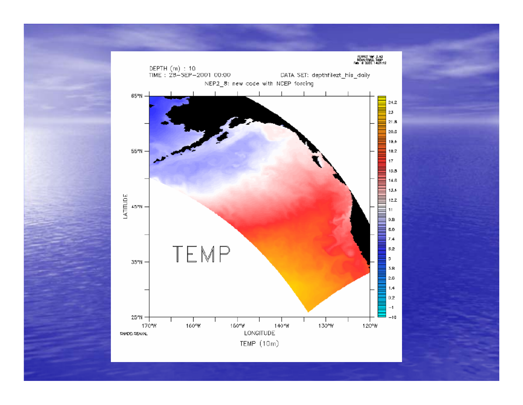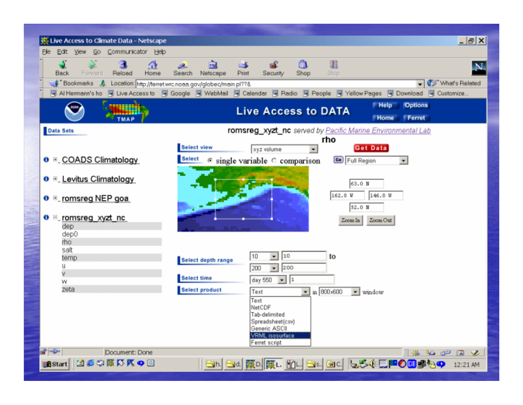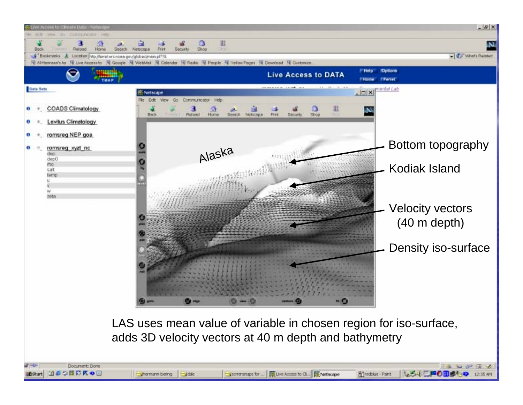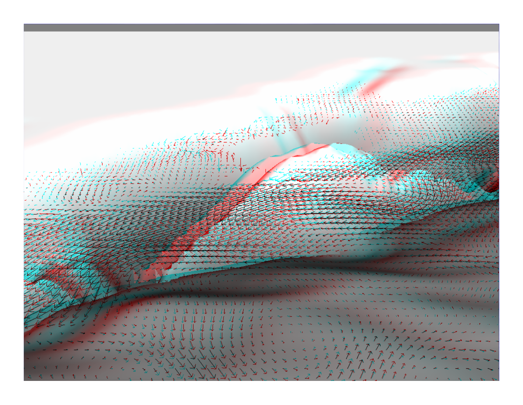